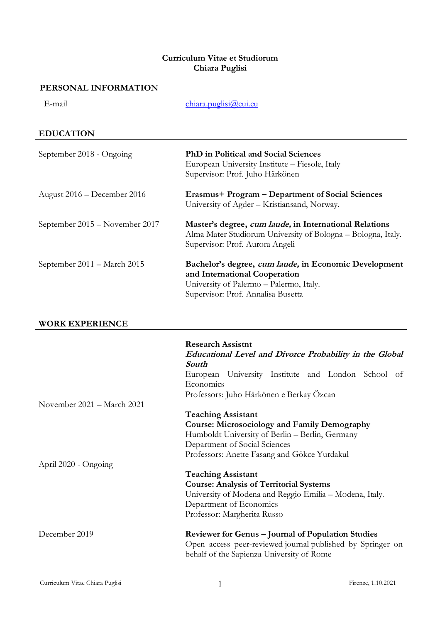# **Curriculum Vitae et Studiorum Chiara Puglisi**

## **PERSONAL INFORMATION**

| E-mail           | $chi$ niara.puglisi $@$ eui.eu |
|------------------|--------------------------------|
|                  |                                |
| <b>EDUCATION</b> |                                |
|                  |                                |

| September 2018 - Ongoing       | PhD in Political and Social Sciences<br>European University Institute – Fiesole, Italy<br>Supervisor: Prof. Juho Härkönen                                               |
|--------------------------------|-------------------------------------------------------------------------------------------------------------------------------------------------------------------------|
| August 2016 – December 2016    | Erasmus+ Program – Department of Social Sciences<br>University of Agder – Kristiansand, Norway.                                                                         |
| September 2015 – November 2017 | Master's degree, <i>cum laude</i> , in International Relations<br>Alma Mater Studiorum University of Bologna – Bologna, Italy.<br>Supervisor: Prof. Aurora Angeli       |
| September 2011 – March 2015    | Bachelor's degree, cum laude, in Economic Development<br>and International Cooperation<br>University of Palermo - Palermo, Italy.<br>Supervisor: Prof. Annalisa Busetta |

## **WORK EXPERIENCE**

|                            | <b>Research Assistnt</b><br><b>Educational Level and Divorce Probability in the Global</b><br>South |
|----------------------------|-----------------------------------------------------------------------------------------------------|
|                            | European University Institute and London School of                                                  |
|                            | Economics                                                                                           |
|                            | Professors: Juho Härkönen e Berkay Özcan                                                            |
| November 2021 - March 2021 |                                                                                                     |
|                            | <b>Teaching Assistant</b>                                                                           |
|                            | <b>Course: Microsociology and Family Demography</b>                                                 |
|                            | Humboldt University of Berlin – Berlin, Germany                                                     |
|                            | Department of Social Sciences                                                                       |
|                            | Professors: Anette Fasang and Gökce Yurdakul                                                        |
| April 2020 - Ongoing       |                                                                                                     |
|                            | <b>Teaching Assistant</b>                                                                           |
|                            | <b>Course: Analysis of Territorial Systems</b>                                                      |
|                            | University of Modena and Reggio Emilia – Modena, Italy.                                             |
|                            | Department of Economics                                                                             |
|                            | Professor: Margherita Russo                                                                         |
| December 2019              | <b>Reviewer for Genus – Journal of Population Studies</b>                                           |
|                            | Open access peer-reviewed journal published by Springer on                                          |
|                            | behalf of the Sapienza University of Rome                                                           |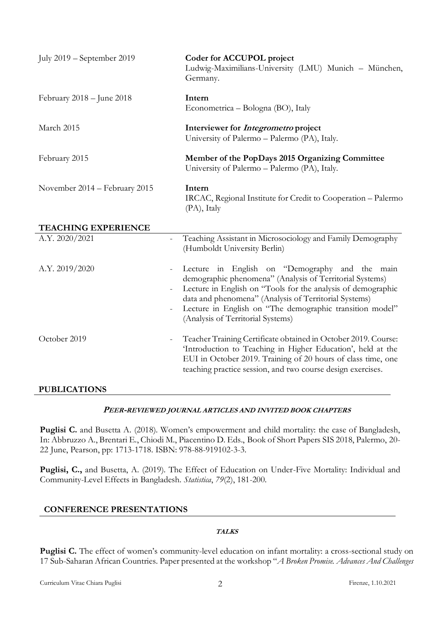| July 2019 – September 2019    | Coder for ACCUPOL project<br>Ludwig-Maximilians-University (LMU) Munich - München,<br>Germany.                                                                                                                                                                                                                                                                                     |
|-------------------------------|------------------------------------------------------------------------------------------------------------------------------------------------------------------------------------------------------------------------------------------------------------------------------------------------------------------------------------------------------------------------------------|
| February 2018 – June 2018     | Intern<br>Econometrica – Bologna (BO), Italy                                                                                                                                                                                                                                                                                                                                       |
| March 2015                    | Interviewer for <i>Integrometro</i> project<br>University of Palermo - Palermo (PA), Italy.                                                                                                                                                                                                                                                                                        |
| February 2015                 | Member of the PopDays 2015 Organizing Committee<br>University of Palermo - Palermo (PA), Italy.                                                                                                                                                                                                                                                                                    |
| November 2014 – February 2015 | Intern<br>IRCAC, Regional Institute for Credit to Cooperation - Palermo<br>(PA), Italy                                                                                                                                                                                                                                                                                             |
| <b>TEACHING EXPERIENCE</b>    |                                                                                                                                                                                                                                                                                                                                                                                    |
| A.Y. 2020/2021                | Teaching Assistant in Microsociology and Family Demography<br>(Humboldt University Berlin)                                                                                                                                                                                                                                                                                         |
| A.Y. 2019/2020                | Lecture in English on "Demography and the main<br>demographic phenomena" (Analysis of Territorial Systems)<br>Lecture in English on "Tools for the analysis of demographic<br>$\blacksquare$<br>data and phenomena" (Analysis of Territorial Systems)<br>Lecture in English on "The demographic transition model"<br>$\overline{\phantom{a}}$<br>(Analysis of Territorial Systems) |
| October 2019                  | Teacher Training Certificate obtained in October 2019. Course:<br>'Introduction to Teaching in Higher Education', held at the<br>EUI in October 2019. Training of 20 hours of class time, one<br>teaching practice session, and two course design exercises.                                                                                                                       |
| <b>PUBLICATIONS</b>           |                                                                                                                                                                                                                                                                                                                                                                                    |

## **PEER-REVIEWED JOURNAL ARTICLES AND INVITED BOOK CHAPTERS**

**Puglisi C.** and Busetta A. (2018). Women's empowerment and child mortality: the case of Bangladesh, In: Abbruzzo A., Brentari E., Chiodi M., Piacentino D. Eds., Book of Short Papers SIS 2018, Palermo, 20- 22 June, Pearson, pp: 1713-1718. ISBN: 978-88-919102-3-3.

**Puglisi, C.,** and Busetta, A. (2019). The Effect of Education on Under-Five Mortality: Individual and Community-Level Effects in Bangladesh. *Statistica*, *79*(2), 181-200.

## **CONFERENCE PRESENTATIONS**

## **TALKS**

Puglisi C. The effect of women's community-level education on infant mortality: a cross-sectional study on 17 Sub-Saharan African Countries. Paper presented at the workshop "*A Broken Promise. Advances And Challenges*